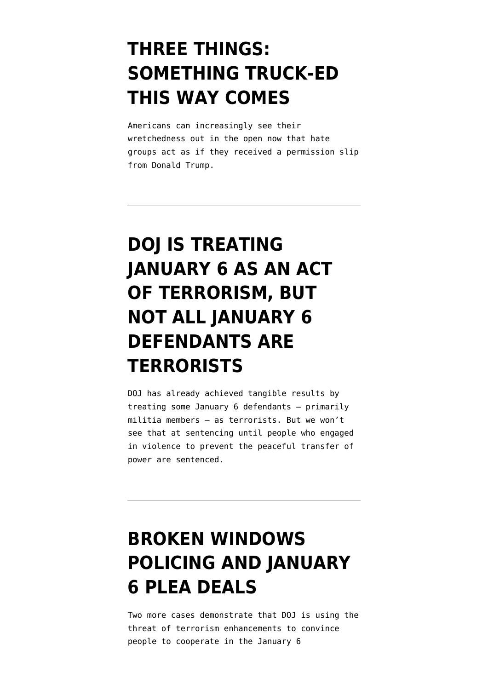## **[THREE THINGS:](https://www.emptywheel.net/2022/06/12/three-things-something-truck-ed-this-way-comes/) [SOMETHING TRUCK-ED](https://www.emptywheel.net/2022/06/12/three-things-something-truck-ed-this-way-comes/) [THIS WAY COMES](https://www.emptywheel.net/2022/06/12/three-things-something-truck-ed-this-way-comes/)**

Americans can increasingly see their wretchedness out in the open now that hate groups act as if they received a permission slip from Donald Trump.

## **[DOJ IS TREATING](https://www.emptywheel.net/2022/01/09/doj-is-treating-january-6-as-an-act-of-terrorism-but-not-all-january-6-defendants-are-terrorists/) [JANUARY 6 AS AN ACT](https://www.emptywheel.net/2022/01/09/doj-is-treating-january-6-as-an-act-of-terrorism-but-not-all-january-6-defendants-are-terrorists/) [OF TERRORISM, BUT](https://www.emptywheel.net/2022/01/09/doj-is-treating-january-6-as-an-act-of-terrorism-but-not-all-january-6-defendants-are-terrorists/) [NOT ALL JANUARY 6](https://www.emptywheel.net/2022/01/09/doj-is-treating-january-6-as-an-act-of-terrorism-but-not-all-january-6-defendants-are-terrorists/) [DEFENDANTS ARE](https://www.emptywheel.net/2022/01/09/doj-is-treating-january-6-as-an-act-of-terrorism-but-not-all-january-6-defendants-are-terrorists/) [TERRORISTS](https://www.emptywheel.net/2022/01/09/doj-is-treating-january-6-as-an-act-of-terrorism-but-not-all-january-6-defendants-are-terrorists/)**

DOJ has already achieved tangible results by treating some January 6 defendants — primarily militia members — as terrorists. But we won't see that at sentencing until people who engaged in violence to prevent the peaceful transfer of power are sentenced.

## **[BROKEN WINDOWS](https://www.emptywheel.net/2021/12/23/broken-windows-policing-and-january-6-plea-deals/) [POLICING AND JANUARY](https://www.emptywheel.net/2021/12/23/broken-windows-policing-and-january-6-plea-deals/) [6 PLEA DEALS](https://www.emptywheel.net/2021/12/23/broken-windows-policing-and-january-6-plea-deals/)**

Two more cases demonstrate that DOJ is using the threat of terrorism enhancements to convince people to cooperate in the January 6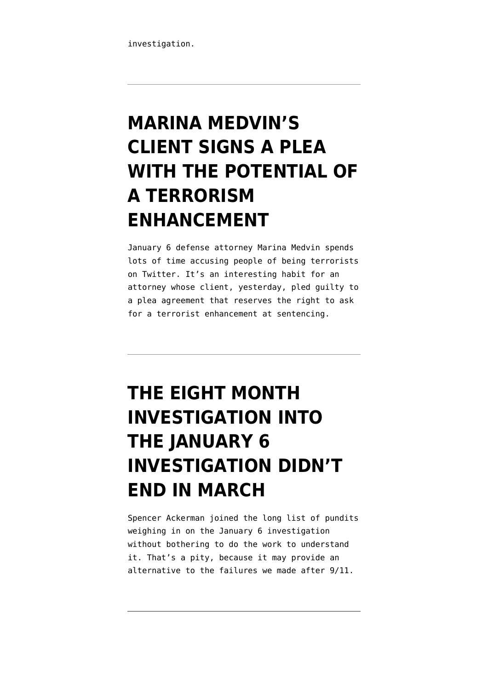# **[MARINA MEDVIN'S](https://www.emptywheel.net/2021/10/14/marina-medvins-client-signs-a-plea-with-the-potential-of-a-terrorism-enhancement/) [CLIENT SIGNS A PLEA](https://www.emptywheel.net/2021/10/14/marina-medvins-client-signs-a-plea-with-the-potential-of-a-terrorism-enhancement/) [WITH THE POTENTIAL OF](https://www.emptywheel.net/2021/10/14/marina-medvins-client-signs-a-plea-with-the-potential-of-a-terrorism-enhancement/) [A TERRORISM](https://www.emptywheel.net/2021/10/14/marina-medvins-client-signs-a-plea-with-the-potential-of-a-terrorism-enhancement/) [ENHANCEMENT](https://www.emptywheel.net/2021/10/14/marina-medvins-client-signs-a-plea-with-the-potential-of-a-terrorism-enhancement/)**

January 6 defense attorney Marina Medvin spends lots of time accusing people of being terrorists on Twitter. It's an interesting habit for an attorney whose client, yesterday, pled guilty to a plea agreement that reserves the right to ask for a terrorist enhancement at sentencing.

## **[THE EIGHT MONTH](https://www.emptywheel.net/2021/09/10/the-eight-month-investigation-into-the-january-6-investigation-didnt-end-in-march/) [INVESTIGATION INTO](https://www.emptywheel.net/2021/09/10/the-eight-month-investigation-into-the-january-6-investigation-didnt-end-in-march/) [THE JANUARY 6](https://www.emptywheel.net/2021/09/10/the-eight-month-investigation-into-the-january-6-investigation-didnt-end-in-march/) [INVESTIGATION DIDN'T](https://www.emptywheel.net/2021/09/10/the-eight-month-investigation-into-the-january-6-investigation-didnt-end-in-march/) [END IN MARCH](https://www.emptywheel.net/2021/09/10/the-eight-month-investigation-into-the-january-6-investigation-didnt-end-in-march/)**

Spencer Ackerman joined the long list of pundits weighing in on the January 6 investigation without bothering to do the work to understand it. That's a pity, because it may provide an alternative to the failures we made after 9/11.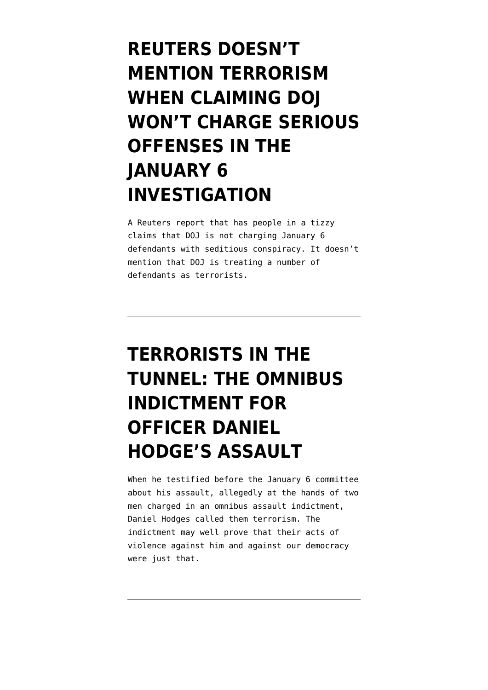## **[REUTERS DOESN'T](https://www.emptywheel.net/2021/08/20/reuters-doesnt-mention-terrorism-when-discussing-the-january-6-investigation/) [MENTION TERRORISM](https://www.emptywheel.net/2021/08/20/reuters-doesnt-mention-terrorism-when-discussing-the-january-6-investigation/) [WHEN CLAIMING DOJ](https://www.emptywheel.net/2021/08/20/reuters-doesnt-mention-terrorism-when-discussing-the-january-6-investigation/) [WON'T CHARGE SERIOUS](https://www.emptywheel.net/2021/08/20/reuters-doesnt-mention-terrorism-when-discussing-the-january-6-investigation/) [OFFENSES IN THE](https://www.emptywheel.net/2021/08/20/reuters-doesnt-mention-terrorism-when-discussing-the-january-6-investigation/) [JANUARY 6](https://www.emptywheel.net/2021/08/20/reuters-doesnt-mention-terrorism-when-discussing-the-january-6-investigation/) [INVESTIGATION](https://www.emptywheel.net/2021/08/20/reuters-doesnt-mention-terrorism-when-discussing-the-january-6-investigation/)**

A Reuters report that has people in a tizzy claims that DOJ is not charging January 6 defendants with seditious conspiracy. It doesn't mention that DOJ is treating a number of defendants as terrorists.

## **[TERRORISTS IN THE](https://www.emptywheel.net/2021/08/13/terrorists-in-the-tunnel-the-omnibus-indictment-for-officer-daniel-hodges-assault/) [TUNNEL: THE OMNIBUS](https://www.emptywheel.net/2021/08/13/terrorists-in-the-tunnel-the-omnibus-indictment-for-officer-daniel-hodges-assault/) [INDICTMENT FOR](https://www.emptywheel.net/2021/08/13/terrorists-in-the-tunnel-the-omnibus-indictment-for-officer-daniel-hodges-assault/) [OFFICER DANIEL](https://www.emptywheel.net/2021/08/13/terrorists-in-the-tunnel-the-omnibus-indictment-for-officer-daniel-hodges-assault/) [HODGE'S ASSAULT](https://www.emptywheel.net/2021/08/13/terrorists-in-the-tunnel-the-omnibus-indictment-for-officer-daniel-hodges-assault/)**

When he testified before the January 6 committee about his assault, allegedly at the hands of two men charged in an omnibus assault indictment, Daniel Hodges called them terrorism. The indictment may well prove that their acts of violence against him and against our democracy were just that.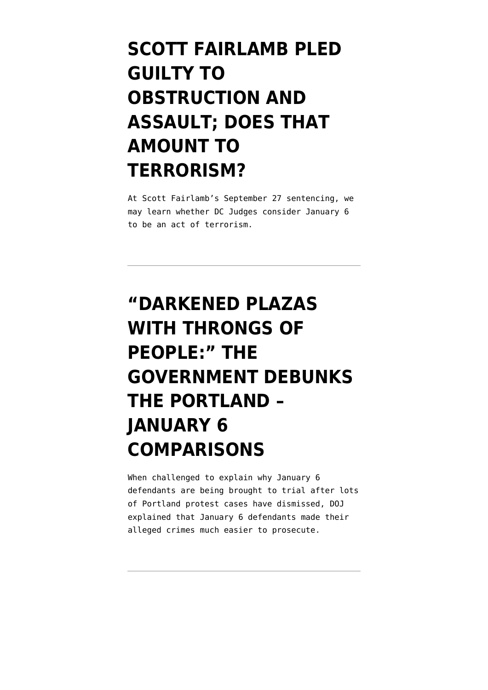## **[SCOTT FAIRLAMB PLED](https://www.emptywheel.net/2021/08/07/scott-fairlambs-admissions-dojs-two-routes-to-terrorism-enhancements-on-january-6-cases/) [GUILTY TO](https://www.emptywheel.net/2021/08/07/scott-fairlambs-admissions-dojs-two-routes-to-terrorism-enhancements-on-january-6-cases/) [OBSTRUCTION AND](https://www.emptywheel.net/2021/08/07/scott-fairlambs-admissions-dojs-two-routes-to-terrorism-enhancements-on-january-6-cases/) [ASSAULT; DOES THAT](https://www.emptywheel.net/2021/08/07/scott-fairlambs-admissions-dojs-two-routes-to-terrorism-enhancements-on-january-6-cases/) [AMOUNT TO](https://www.emptywheel.net/2021/08/07/scott-fairlambs-admissions-dojs-two-routes-to-terrorism-enhancements-on-january-6-cases/) [TERRORISM?](https://www.emptywheel.net/2021/08/07/scott-fairlambs-admissions-dojs-two-routes-to-terrorism-enhancements-on-january-6-cases/)**

At Scott Fairlamb's September 27 sentencing, we may learn whether DC Judges consider January 6 to be an act of terrorism.

## **["DARKENED PLAZAS](https://www.emptywheel.net/2021/07/22/darkened-plazas-with-throngs-of-people-the-government-debunks-the-portland-january-6-comparisons/) [WITH THRONGS OF](https://www.emptywheel.net/2021/07/22/darkened-plazas-with-throngs-of-people-the-government-debunks-the-portland-january-6-comparisons/) [PEOPLE:" THE](https://www.emptywheel.net/2021/07/22/darkened-plazas-with-throngs-of-people-the-government-debunks-the-portland-january-6-comparisons/) [GOVERNMENT DEBUNKS](https://www.emptywheel.net/2021/07/22/darkened-plazas-with-throngs-of-people-the-government-debunks-the-portland-january-6-comparisons/) [THE PORTLAND –](https://www.emptywheel.net/2021/07/22/darkened-plazas-with-throngs-of-people-the-government-debunks-the-portland-january-6-comparisons/) [JANUARY 6](https://www.emptywheel.net/2021/07/22/darkened-plazas-with-throngs-of-people-the-government-debunks-the-portland-january-6-comparisons/) [COMPARISONS](https://www.emptywheel.net/2021/07/22/darkened-plazas-with-throngs-of-people-the-government-debunks-the-portland-january-6-comparisons/)**

When challenged to explain why January 6 defendants are being brought to trial after lots of Portland protest cases have dismissed, DOJ explained that January 6 defendants made their alleged crimes much easier to prosecute.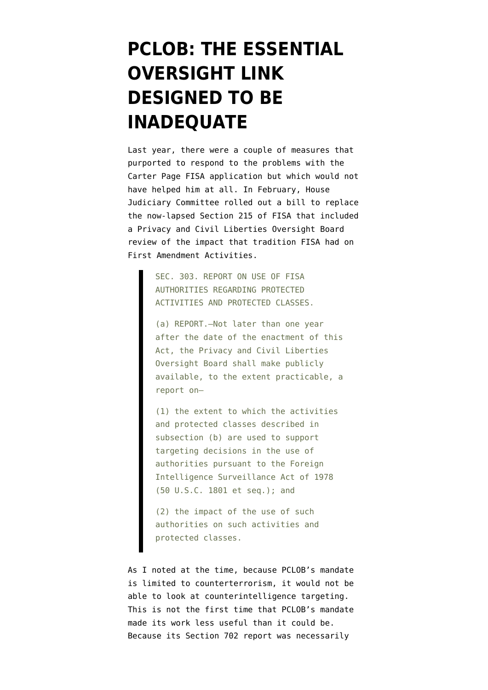### **[PCLOB: THE ESSENTIAL](https://www.emptywheel.net/2021/06/21/pclob-the-essential-oversight-link-designed-to-be-inadequate/) [OVERSIGHT LINK](https://www.emptywheel.net/2021/06/21/pclob-the-essential-oversight-link-designed-to-be-inadequate/) [DESIGNED TO BE](https://www.emptywheel.net/2021/06/21/pclob-the-essential-oversight-link-designed-to-be-inadequate/) [INADEQUATE](https://www.emptywheel.net/2021/06/21/pclob-the-essential-oversight-link-designed-to-be-inadequate/)**

Last year, there were a couple of measures that purported to respond to the problems with the Carter Page FISA application but which would not have helped him at all. In February, House Judiciary Committee [rolled out a bill](https://docs.house.gov/meetings/JU/JU00/20200226/110582/HMKP-116-JU00-20200226-SD001.pdf) to replace the now-lapsed Section 215 of FISA that included a Privacy and Civil Liberties Oversight Board review of the impact that tradition FISA had on First Amendment Activities.

> SEC. 303. REPORT ON USE OF FISA AUTHORITIES REGARDING PROTECTED ACTIVITIES AND PROTECTED CLASSES.

(a) REPORT.—Not later than one year after the date of the enactment of this Act, the Privacy and Civil Liberties Oversight Board shall make publicly available, to the extent practicable, a report on—

(1) the extent to which the activities and protected classes described in subsection (b) are used to support targeting decisions in the use of authorities pursuant to the Foreign Intelligence Surveillance Act of 1978 (50 U.S.C. 1801 et seq.); and

(2) the impact of the use of such authorities on such activities and protected classes.

As I [noted at the time](https://www.emptywheel.net/2020/02/24/the-carter-page-clauses-in-the-fisa-reform-bill-wouldnt-help-carter-page/), because PCLOB's mandate is limited to counterterrorism, it would not be able to look at counterintelligence targeting. This is not the first time that PCLOB's mandate made its work less useful than it could be. Because its Section 702 report was necessarily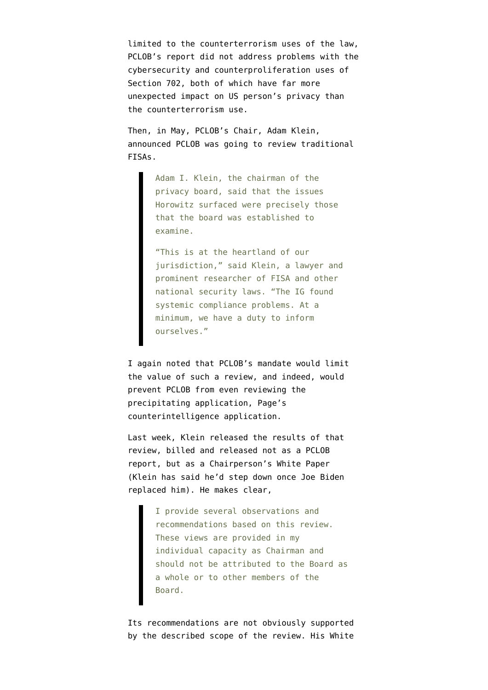limited to the counterterrorism uses of the law, PCLOB's report did not address problems with the cybersecurity and counterproliferation uses of Section 702, both of which have far more unexpected impact on US person's privacy than the counterterrorism use.

Then, in May, PCLOB's Chair, Adam Klein, [announced](https://www.washingtonpost.com/national-security/privacy-and-civil-liberties-board-will-review-surveillance-law-that-has-vexed-trump/2020/05/27/65864df8-a02d-11ea-9590-1858a893bd59_story.html) PCLOB was going to review traditional FISAs.

> Adam I. Klein, the chairman of the privacy board, said that the issues Horowitz surfaced were precisely those that the board was established to examine.

"This is at the heartland of our jurisdiction," said Klein, a lawyer and prominent researcher of FISA and other national security laws. "The IG found systemic compliance problems. At a minimum, we have a duty to inform ourselves."

I again [noted](https://www.emptywheel.net/2020/05/28/in-a-bid-to-remain-relevant-pclob-will-treat-carter-page-as-a-suspected-terrorist/) that PCLOB's mandate would limit the value of such a review, and indeed, would prevent PCLOB from even reviewing the precipitating application, Page's counterintelligence application.

Last week, Klein released the results of that review, billed and released not as a PCLOB report, but as a [Chairperson's White Paper](https://documents.pclob.gov/prod/Documents/EventsAndPress/ec2bfc95-f111-4123-87d5-8a7827bf2fdd/Chairman) (Klein has said he'd step down once Joe Biden replaced him). He makes clear,

> I provide several observations and recommendations based on this review. These views are provided in my individual capacity as Chairman and should not be attributed to the Board as a whole or to other members of the Board.

Its recommendations are not obviously supported by the described scope of the review. His White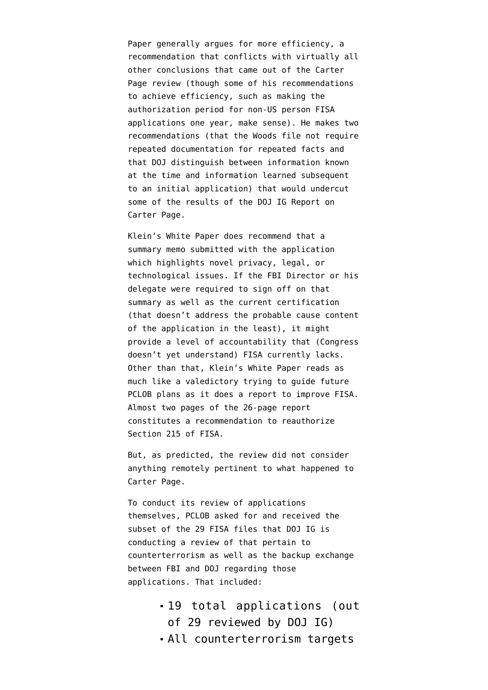Paper generally argues for more efficiency, a recommendation that conflicts with virtually all other conclusions that came out of the Carter Page review (though some of his recommendations to achieve efficiency, such as making the authorization period for non-US person FISA applications one year, make sense). He makes two recommendations (that the Woods file not require repeated documentation for repeated facts and that DOJ distinguish between information known at the time and information learned subsequent to an initial application) that would undercut some of the results of the DOJ IG Report on Carter Page.

Klein's White Paper does recommend that a summary memo submitted with the application which highlights novel privacy, legal, or technological issues. If the FBI Director or his delegate were required to sign off on that summary as well as the current certification (that doesn't address the probable cause content of the application in the least), it might provide a level of accountability that ([Congress](https://www.emptywheel.net/2020/09/30/lindsey-graham-chuck-grassley-and-mike-lee-exhibit-utter-ignorance-about-fbi-certification-on-fisa-applications/) [doesn't yet understand](https://www.emptywheel.net/2020/09/30/lindsey-graham-chuck-grassley-and-mike-lee-exhibit-utter-ignorance-about-fbi-certification-on-fisa-applications/)) FISA currently lacks. Other than that, Klein's White Paper reads as much like a valedictory trying to guide future PCLOB plans as it does a report to improve FISA. Almost two pages of the 26-page report constitutes a recommendation to reauthorize Section 215 of FISA.

But, as predicted, the review did not consider anything remotely pertinent to what happened to Carter Page.

To conduct its review of applications themselves, PCLOB asked for and received the subset of the 29 FISA files that DOJ IG is conducting a review of that pertain to counterterrorism as well as the backup exchange between FBI and DOJ regarding those applications. That included:

- 19 total applications (out of 29 reviewed by DOJ IG)
- All counterterrorism targets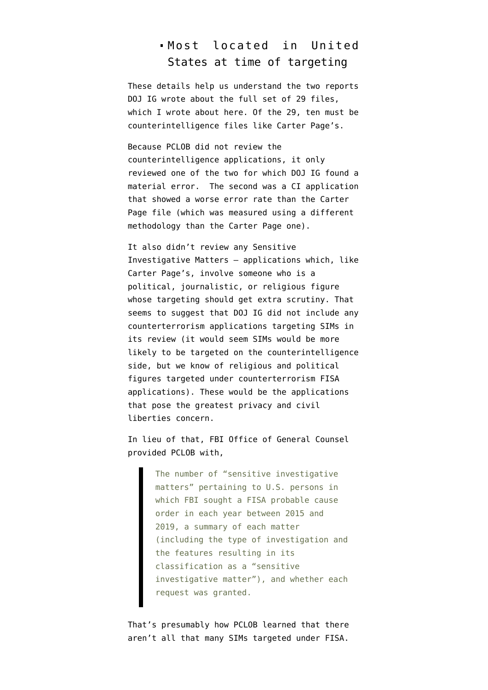#### Most located in United States at time of targeting

These details help us understand the two reports DOJ IG wrote about the full set of 29 files. which I [wrote about here.](https://www.emptywheel.net/2020/08/07/dojs-accounting-of-its-fisa-errors-cannot-be-compared-to-the-carter-page-report/) Of the 29, ten must be counterintelligence files like Carter Page's.

Because PCLOB did not review the counterintelligence applications, it only reviewed one of the two for which DOJ IG found a material error. The second was a CI application that showed a worse error rate than the Carter Page file (which was measured using a different methodology than the Carter Page one).

It also didn't review any Sensitive Investigative Matters — applications which, like Carter Page's, involve someone who is a political, journalistic, or religious figure whose targeting should get extra scrutiny. That seems to suggest that DOJ IG did not include any counterterrorism applications targeting SIMs in its review (it would seem SIMs would be more likely to be targeted on the counterintelligence side, but [we know of religious and political](https://www.emptywheel.net/2014/07/09/all-these-muslim-organizations-have-probably-been-associationally-mapped/) [figures](https://www.emptywheel.net/2014/07/09/all-these-muslim-organizations-have-probably-been-associationally-mapped/) targeted under counterterrorism FISA applications). These would be the applications that pose the greatest privacy and civil liberties concern.

In lieu of that, FBI Office of General Counsel provided PCLOB with,

> The number of "sensitive investigative matters" pertaining to U.S. persons in which FBI sought a FISA probable cause order in each year between 2015 and 2019, a summary of each matter (including the type of investigation and the features resulting in its classification as a "sensitive investigative matter"), and whether each request was granted.

That's presumably how PCLOB learned that there aren't all that many SIMs targeted under FISA.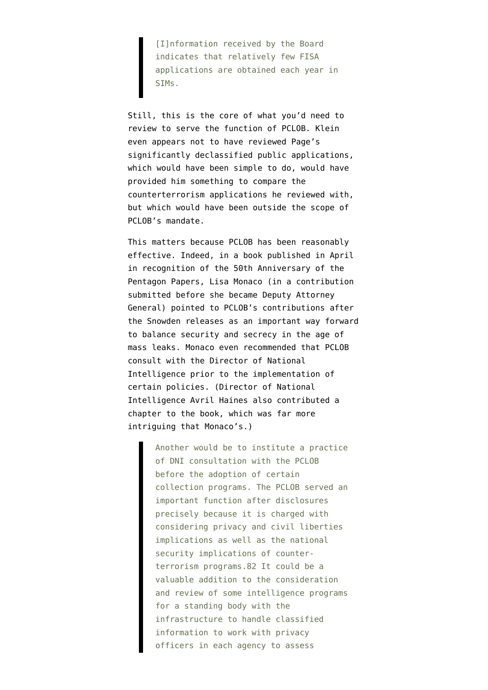[I]nformation received by the Board indicates that relatively few FISA applications are obtained each year in SIMs.

Still, this is the core of what you'd need to review to serve the function of PCLOB. Klein even appears not to have reviewed [Page's](https://www.documentcloud.org/documents/6842430-170629-Carter-Page-FISA-Application) [significantly declassified public applications,](https://www.documentcloud.org/documents/6842430-170629-Carter-Page-FISA-Application) which would have been simple to do, would have provided him something to compare the counterterrorism applications he reviewed with, but which would have been outside the scope of PCLOB's mandate.

This matters because PCLOB has been reasonably effective. Indeed, [in a book published in April](https://www.amazon.com/National-Security-Leaks-Freedom-Press/dp/0197519385) [in recognition of the 50th Anniversary of the](https://www.amazon.com/National-Security-Leaks-Freedom-Press/dp/0197519385) [Pentagon Papers,](https://www.amazon.com/National-Security-Leaks-Freedom-Press/dp/0197519385) Lisa Monaco (in a contribution submitted before she became Deputy Attorney General) pointed to PCLOB's contributions after the Snowden releases as an important way forward to balance security and secrecy in the age of mass leaks. Monaco even recommended that PCLOB consult with the Director of National Intelligence prior to the implementation of certain policies. (Director of National Intelligence Avril Haines also contributed a chapter to the book, which was far more intriguing that Monaco's.)

> Another would be to institute a practice of DNI consultation with the PCLOB before the adoption of certain collection programs. The PCLOB served an important function after disclosures precisely because it is charged with considering privacy and civil liberties implications as well as the national security implications of counterterrorism programs.82 It could be a valuable addition to the consideration and review of some intelligence programs for a standing body with the infrastructure to handle classified information to work with privacy officers in each agency to assess